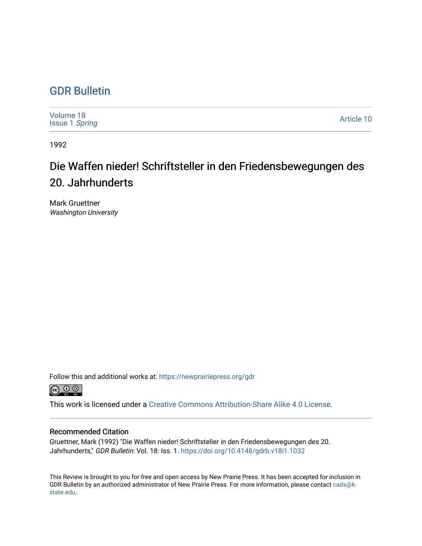## [GDR Bulletin](https://newprairiepress.org/gdr)

| Volume 18<br><b>Issue 1 Spring</b> | Article 10 |
|------------------------------------|------------|
|------------------------------------|------------|

1992

## Die Waffen nieder! Schriftsteller in den Friedensbewegungen des 20. Jahrhunderts

Mark Gruettner Washington University

Follow this and additional works at: [https://newprairiepress.org/gdr](https://newprairiepress.org/gdr?utm_source=newprairiepress.org%2Fgdr%2Fvol18%2Fiss1%2F10&utm_medium=PDF&utm_campaign=PDFCoverPages) 



This work is licensed under a [Creative Commons Attribution-Share Alike 4.0 License.](https://creativecommons.org/licenses/by-sa/4.0/)

## Recommended Citation

Gruettner, Mark (1992) "Die Waffen nieder! Schriftsteller in den Friedensbewegungen des 20. Jahrhunderts," GDR Bulletin: Vol. 18: Iss. 1. <https://doi.org/10.4148/gdrb.v18i1.1032>

This Review is brought to you for free and open access by New Prairie Press. It has been accepted for inclusion in GDR Bulletin by an authorized administrator of New Prairie Press. For more information, please contact [cads@k](mailto:cads@k-state.edu)[state.edu](mailto:cads@k-state.edu).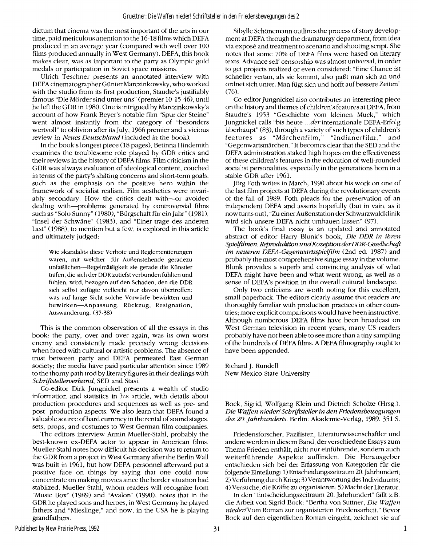dictum that cinema was the most important of the arts in our time, paid meticulous attention to the 16-18 films which DEFA produced in an average year (compared with well over 100 films produced annually in West Germany). DEFA, this book makes clear, was as important to the party as Olympic gold medals or participation in Soviet space missions.

Ulrich Teschner presents an annotated interview with DEFA cinematographer Günter Marczinkowsky, who worked with the studio from its first production, Staudte's justifiably famous "Die Mörder sind unter uns" (premier 10-15-46), until he left the GDR in 1980. One is intrigued by Marczinkowsky's account of how Frank Beyer's notable film "Spur der Steine" went almost instantly from the category of "besonders wertvoll" to oblivion after its July, 1966 premier and a vicious review in *Neues Deutschland* (included in the book).

In the book's longest piece (18 pages), Betinna Hindemith examines the troublesome role played by GDR critics and their reviews in the history of DEFA films. Film criticism in the GDR was always evaluation of ideological content, couched in terms of the party's shifting concerns and short-term goals, such as the emphasis on the positive hero within the framework of socialist realism. Film aesthetics were invariably secondary. How the critics dealt with—or avoided dealing with—problems generated by controversial films such as "Solo Sunny" (1980), "Bürgschaft für ein Jahr" (1981), "Insel der Schwäne" (1983), and "Einer trage des anderen Last" (1988), to mention but a few, is explored in this article and ultimately judged:

Wie skandalös diese Verbote und Reglementierungen waren, mit welcher—für Außenstehende geradezu unfaßlichen—Regelmäßigkeit sie gerade die Künstler trafen, die sich der DDR zutiefst verbunden fühlten und fühlen, wird, bezogen auf den Schaden, den die DDR sich selbst zufügte vielleicht nur davon übertroffen: was auf lange Sicht solche Vorwürfe bewirkten und bewirken—Anpassung, Rückzug, Resignation, Auswanderung. (37-38)

This is the common observation of all the essays in this book: the party, over and over again, was its own worst enemy and consistently made precisely wrong decisions when faced with cultural or artistic problems. The absence of trust between party and DEFA permeated East German society; the media have paid particular attention since 1989 to the thorny path trod by literary figures in their dealings with *Schriftstellerverband,* SED and Stasi.

Co-editor Dirk Jungnickel presents a wealth of studio information and statistics in his article, with details about production procedures and sequences as well as pre- and post- production aspects. We also learn that DEFA found a valuable source of hard currency in the rental of sound stages, sets, props, and costumes to West German film companies.

The editors interview Armin Mueller-Stahl, probably the best-known ex-DEFA actor to appear in American films. Mueller-Stahl notes how difficult his decision was to return to the GDR from a project in West Germany after the Berlin Wall was built in 1961, but how DEFA personnel afterward put a positive face on things by saying that one could now concentrate on making movies since the border situation had stablized. Mueller-Stahl, whom readers will recognize from "Music Box" (1989) and "Avalon" (1990), notes that in the GDR he played sons and heroes, in West Germany he played fathers and "Mieslinge," and now, in the USA he is playing grandfathers.

Sibylle Schönemann outlines the process of story development at DEFA through the dramaturgy department, from idea via expose and treatment to scenario and shooting script. She notes that some 70% of DEFA films were based on literary texts. Advance self-censorship was almost universal, in order to get projects realized or even considered: "Eine Chance ist schneller vertan, als sie kommt, also paßt man sich an und ordnet sich unter. Man fügt sich und hofft auf bessere Zeiten" (76).

Co-editor Jungnickel also contributes an interesting piece on the history and themes of children's features at DEFA, from Staudte's 1953 "Geschichte vom kleinen Muck," which Jungnickel calls "bis heute *...der* internationale DEFA-Erfolg überhaupt" (83), through a variety of such types of children's features as "Märchenfilm," "Indianerfilm," and "Gegenwartsmärchen." It becomes clear that the SED and the DEFA administration staked high hopes on the effectiveness of these children's features in the education of well-rounded socialist personalities, especially in the generations born in a stable GDR after 1961.

Jörg Foth writes in March, 1990 about his work on one of the last film projects at DEFA during the revolutionary events of the fall of 1989. Foth pleads for the preservation of an independent DEFA and asserts hopefully (but in vain, as it now turns out), "Zu einer Außenstation der Schwarzwaldklinik wird sich unsere DEFA nicht umbauen lassen" (97).

The book's final essay is an updated and annotated abstract of editor Harry Blunk's book, *Die DDR in ihren Spielfilmen: Reproduktion undKozeption derDDR-Gesellschafi im neueren DEFA-Gegenwartsspielfilm* (2nd ed. 1987) and probably the most comprehensive single essay in the volume. Blunk provides a superb and convincing analysis of what DEFA might have been and what went wrong, as well as a sense of DEFA's position in the overall cultural landscape.

Only two criticisms are worth noting for this excellent, small paperback. The editors clearly assume that readers are thoroughly familiar with production practices in other countries; more explicit comparisons would have been instructive. Although numberous DEFA films have been broadcast on West German television in recent years, many US readers probably have not been able to see more than a tiny sampling of the hundreds of DEFA films. A DEFA filmography ought to have been appended.

Richard J. Rundell New Mexico State University

Bock, Sigrid, Wolfgang Klein und Dietrich Scholze (Hrsg.). *Die Waffen nieder! Schriftsteller in den Friedensbewegungen des 20. Jahrhunderts.* Berlin: Akademie-Verlag, 1989- 351 S.

Friedensforscher, Pazifisten, Literaturwissenschaftler und andere werden in diesem Band, der verschiedene Essays zum Thema Frieden enthält, nicht nur einführende, sondern auch weiterführende Aspekte auffinden. Die Herausgeber entschieden sich bei der Erfassung von Kategorien für die folgende Einteilung: 1) Entscheidungszeitraum 20. Jahrhundert; 2) Verführung durch Krieg; 3) Verantwortung des Individuums; 4) Versuche, die Kräfte zu organisieren; 5) Macht der Literatur.

In den "Entscheidungszeitraum 20. Jahrhundert" fällt z.B. die Arbeit von Sigrid Bock: "Bertha von Suttner, *Die Waffen nieder/Vom* Roman zur organisierten Friedensarbeit." Bevor Bock auf den eigentlichen Roman eingeht, zeichnet sie auf